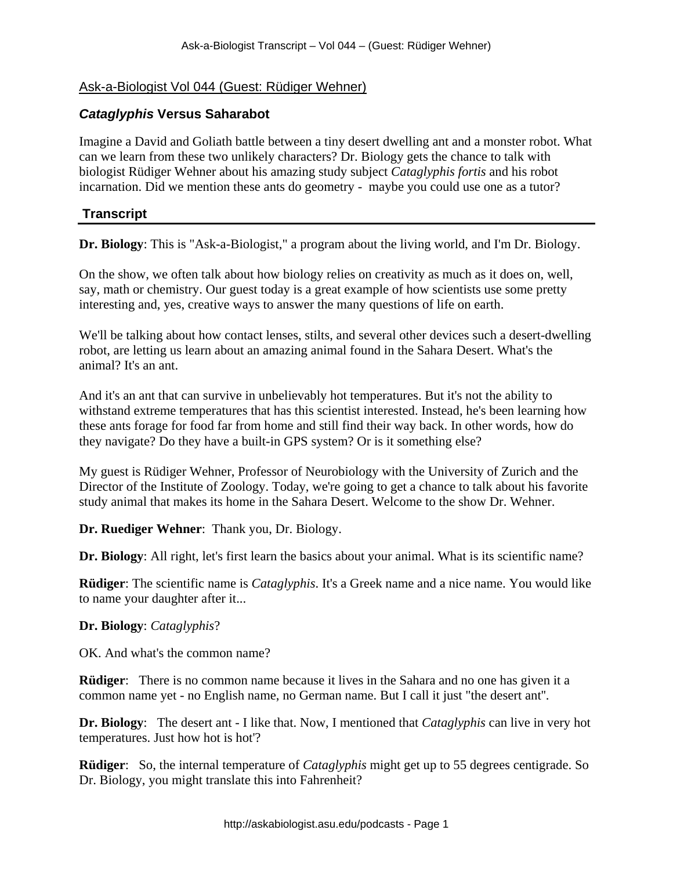# Ask-a-Biologist Vol 044 (Guest: Rüdiger Wehner)

# *Cataglyphis* **Versus Saharabot**

Imagine a David and Goliath battle between a tiny desert dwelling ant and a monster robot. What can we learn from these two unlikely characters? Dr. Biology gets the chance to talk with biologist Rüdiger Wehner about his amazing study subject *Cataglyphis fortis* and his robot incarnation. Did we mention these ants do geometry - maybe you could use one as a tutor?

## **Transcript**

**Dr. Biology**: This is "Ask-a-Biologist," a program about the living world, and I'm Dr. Biology.

On the show, we often talk about how biology relies on creativity as much as it does on, well, say, math or chemistry. Our guest today is a great example of how scientists use some pretty interesting and, yes, creative ways to answer the many questions of life on earth.

We'll be talking about how contact lenses, stilts, and several other devices such a desert-dwelling robot, are letting us learn about an amazing animal found in the Sahara Desert. What's the animal? It's an ant.

And it's an ant that can survive in unbelievably hot temperatures. But it's not the ability to withstand extreme temperatures that has this scientist interested. Instead, he's been learning how these ants forage for food far from home and still find their way back. In other words, how do they navigate? Do they have a built-in GPS system? Or is it something else?

My guest is Rüdiger Wehner, Professor of Neurobiology with the University of Zurich and the Director of the Institute of Zoology. Today, we're going to get a chance to talk about his favorite study animal that makes its home in the Sahara Desert. Welcome to the show Dr. Wehner.

**Dr. Ruediger Wehner**: Thank you, Dr. Biology.

**Dr. Biology**: All right, let's first learn the basics about your animal. What is its scientific name?

**Rüdiger**: The scientific name is *Cataglyphis*. It's a Greek name and a nice name. You would like to name your daughter after it...

## **Dr. Biology**: *Cataglyphis*?

OK. And what's the common name?

**Rüdiger**: There is no common name because it lives in the Sahara and no one has given it a common name yet - no English name, no German name. But I call it just "the desert ant''.

**Dr. Biology**: The desert ant - I like that. Now, I mentioned that *Cataglyphis* can live in very hot temperatures. Just how hot is hot'?

**Rüdiger**: So, the internal temperature of *Cataglyphis* might get up to 55 degrees centigrade. So Dr. Biology, you might translate this into Fahrenheit?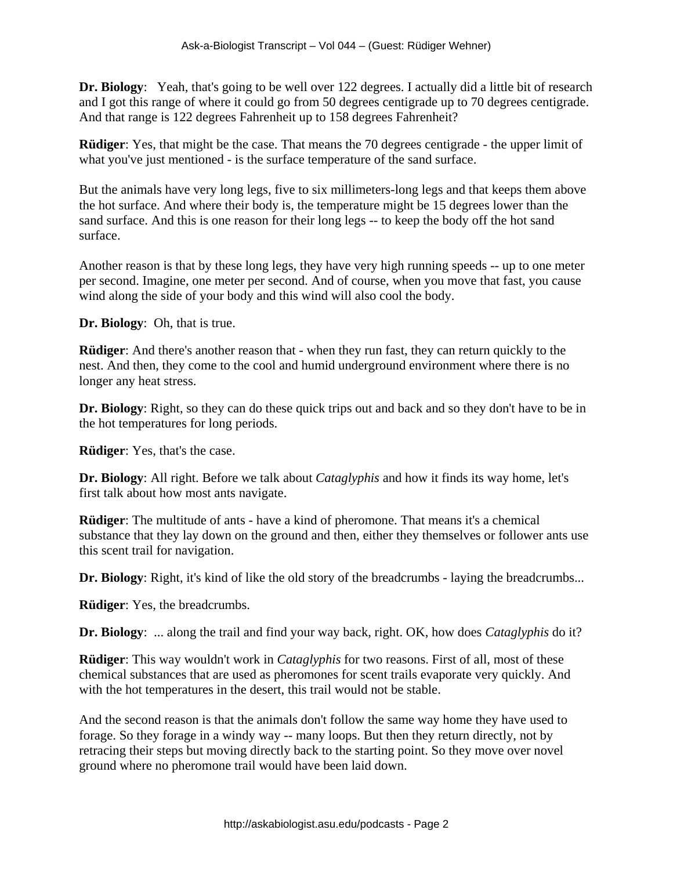**Dr. Biology**: Yeah, that's going to be well over 122 degrees. I actually did a little bit of research and I got this range of where it could go from 50 degrees centigrade up to 70 degrees centigrade. And that range is 122 degrees Fahrenheit up to 158 degrees Fahrenheit?

**Rüdiger**: Yes, that might be the case. That means the 70 degrees centigrade - the upper limit of what you've just mentioned - is the surface temperature of the sand surface.

But the animals have very long legs, five to six millimeters-long legs and that keeps them above the hot surface. And where their body is, the temperature might be 15 degrees lower than the sand surface. And this is one reason for their long legs -- to keep the body off the hot sand surface.

Another reason is that by these long legs, they have very high running speeds -- up to one meter per second. Imagine, one meter per second. And of course, when you move that fast, you cause wind along the side of your body and this wind will also cool the body.

**Dr. Biology**: Oh, that is true.

**Rüdiger**: And there's another reason that - when they run fast, they can return quickly to the nest. And then, they come to the cool and humid underground environment where there is no longer any heat stress.

**Dr. Biology**: Right, so they can do these quick trips out and back and so they don't have to be in the hot temperatures for long periods.

**Rüdiger**: Yes, that's the case.

**Dr. Biology**: All right. Before we talk about *Cataglyphis* and how it finds its way home, let's first talk about how most ants navigate.

**Rüdiger:** The multitude of ants - have a kind of pheromone. That means it's a chemical substance that they lay down on the ground and then, either they themselves or follower ants use this scent trail for navigation.

**Dr. Biology**: Right, it's kind of like the old story of the breadcrumbs - laying the breadcrumbs...

**Rüdiger**: Yes, the breadcrumbs.

**Dr. Biology**: ... along the trail and find your way back, right. OK, how does *Cataglyphis* do it?

**Rüdiger**: This way wouldn't work in *Cataglyphis* for two reasons. First of all, most of these chemical substances that are used as pheromones for scent trails evaporate very quickly. And with the hot temperatures in the desert, this trail would not be stable.

And the second reason is that the animals don't follow the same way home they have used to forage. So they forage in a windy way -- many loops. But then they return directly, not by retracing their steps but moving directly back to the starting point. So they move over novel ground where no pheromone trail would have been laid down.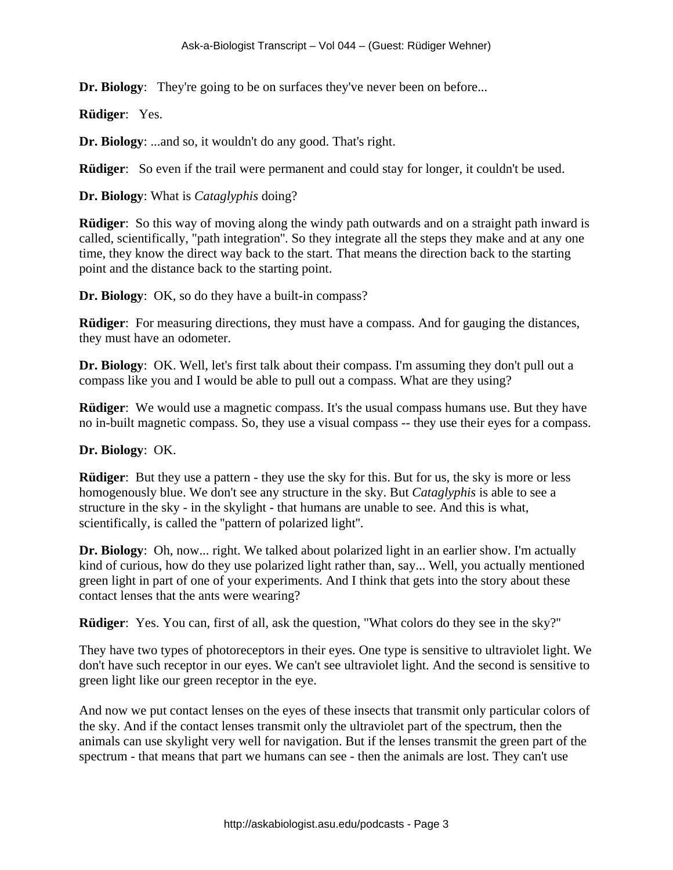**Dr. Biology**: They're going to be on surfaces they've never been on before...

**Rüdiger**: Yes.

**Dr. Biology**: ...and so, it wouldn't do any good. That's right.

**Rüdiger**: So even if the trail were permanent and could stay for longer, it couldn't be used.

**Dr. Biology**: What is *Cataglyphis* doing?

**Rüdiger**: So this way of moving along the windy path outwards and on a straight path inward is called, scientifically, "path integration''. So they integrate all the steps they make and at any one time, they know the direct way back to the start. That means the direction back to the starting point and the distance back to the starting point.

**Dr. Biology**: OK, so do they have a built-in compass?

**Rüdiger:** For measuring directions, they must have a compass. And for gauging the distances, they must have an odometer.

**Dr. Biology**: OK. Well, let's first talk about their compass. I'm assuming they don't pull out a compass like you and I would be able to pull out a compass. What are they using?

**Rüdiger:** We would use a magnetic compass. It's the usual compass humans use. But they have no in-built magnetic compass. So, they use a visual compass -- they use their eyes for a compass.

#### **Dr. Biology**: OK.

**Rüdiger**: But they use a pattern - they use the sky for this. But for us, the sky is more or less homogenously blue. We don't see any structure in the sky. But *Cataglyphis* is able to see a structure in the sky - in the skylight - that humans are unable to see. And this is what, scientifically, is called the ''pattern of polarized light''.

**Dr. Biology**: Oh, now... right. We talked about polarized light in an earlier show. I'm actually kind of curious, how do they use polarized light rather than, say... Well, you actually mentioned green light in part of one of your experiments. And I think that gets into the story about these contact lenses that the ants were wearing?

**Rüdiger**: Yes. You can, first of all, ask the question, "What colors do they see in the sky?''

They have two types of photoreceptors in their eyes. One type is sensitive to ultraviolet light. We don't have such receptor in our eyes. We can't see ultraviolet light. And the second is sensitive to green light like our green receptor in the eye.

And now we put contact lenses on the eyes of these insects that transmit only particular colors of the sky. And if the contact lenses transmit only the ultraviolet part of the spectrum, then the animals can use skylight very well for navigation. But if the lenses transmit the green part of the spectrum - that means that part we humans can see - then the animals are lost. They can't use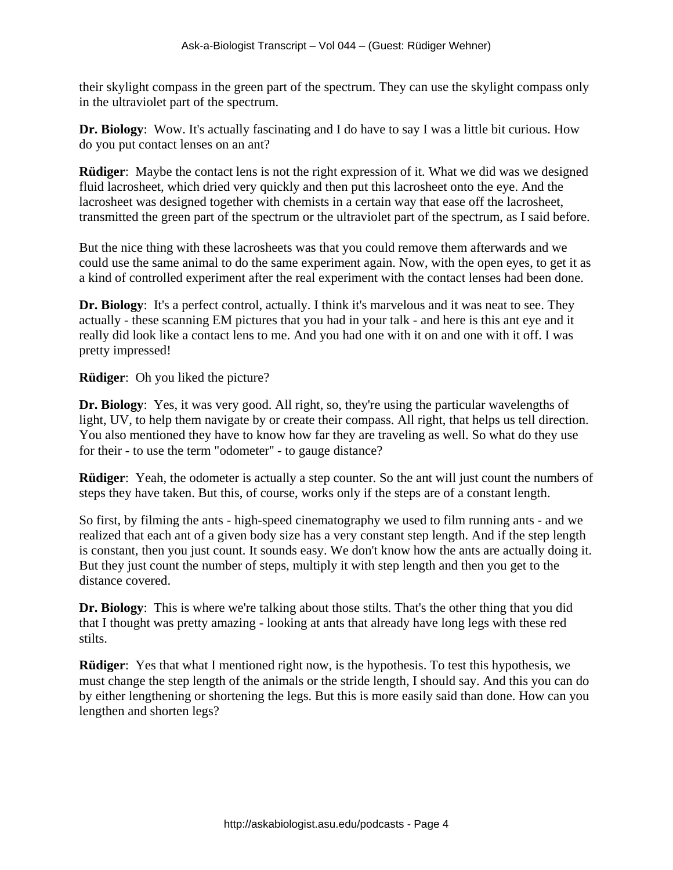their skylight compass in the green part of the spectrum. They can use the skylight compass only in the ultraviolet part of the spectrum.

**Dr. Biology**: Wow. It's actually fascinating and I do have to say I was a little bit curious. How do you put contact lenses on an ant?

**Rüdiger**: Maybe the contact lens is not the right expression of it. What we did was we designed fluid lacrosheet, which dried very quickly and then put this lacrosheet onto the eye. And the lacrosheet was designed together with chemists in a certain way that ease off the lacrosheet, transmitted the green part of the spectrum or the ultraviolet part of the spectrum, as I said before.

But the nice thing with these lacrosheets was that you could remove them afterwards and we could use the same animal to do the same experiment again. Now, with the open eyes, to get it as a kind of controlled experiment after the real experiment with the contact lenses had been done.

**Dr. Biology**: It's a perfect control, actually. I think it's marvelous and it was neat to see. They actually - these scanning EM pictures that you had in your talk - and here is this ant eye and it really did look like a contact lens to me. And you had one with it on and one with it off. I was pretty impressed!

**Rüdiger**: Oh you liked the picture?

**Dr. Biology**: Yes, it was very good. All right, so, they're using the particular wavelengths of light, UV, to help them navigate by or create their compass. All right, that helps us tell direction. You also mentioned they have to know how far they are traveling as well. So what do they use for their - to use the term "odometer'' - to gauge distance?

**Rüdiger**: Yeah, the odometer is actually a step counter. So the ant will just count the numbers of steps they have taken. But this, of course, works only if the steps are of a constant length.

So first, by filming the ants - high-speed cinematography we used to film running ants - and we realized that each ant of a given body size has a very constant step length. And if the step length is constant, then you just count. It sounds easy. We don't know how the ants are actually doing it. But they just count the number of steps, multiply it with step length and then you get to the distance covered.

**Dr. Biology**: This is where we're talking about those stilts. That's the other thing that you did that I thought was pretty amazing - looking at ants that already have long legs with these red stilts.

**Rüdiger**: Yes that what I mentioned right now, is the hypothesis. To test this hypothesis, we must change the step length of the animals or the stride length, I should say. And this you can do by either lengthening or shortening the legs. But this is more easily said than done. How can you lengthen and shorten legs?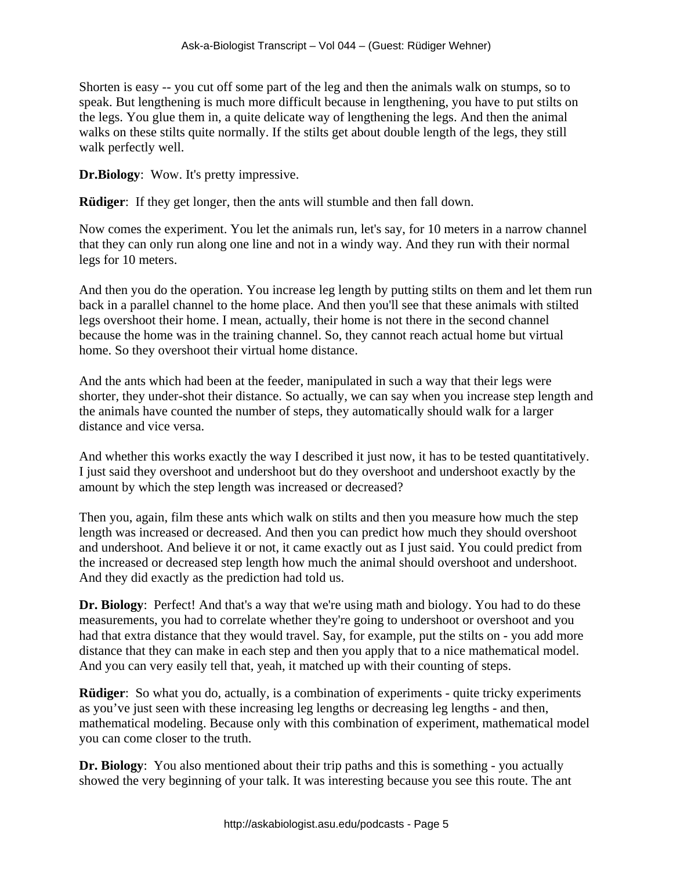Shorten is easy -- you cut off some part of the leg and then the animals walk on stumps, so to speak. But lengthening is much more difficult because in lengthening, you have to put stilts on the legs. You glue them in, a quite delicate way of lengthening the legs. And then the animal walks on these stilts quite normally. If the stilts get about double length of the legs, they still walk perfectly well.

**Dr.Biology**: Wow. It's pretty impressive.

**Rüdiger**: If they get longer, then the ants will stumble and then fall down.

Now comes the experiment. You let the animals run, let's say, for 10 meters in a narrow channel that they can only run along one line and not in a windy way. And they run with their normal legs for 10 meters.

And then you do the operation. You increase leg length by putting stilts on them and let them run back in a parallel channel to the home place. And then you'll see that these animals with stilted legs overshoot their home. I mean, actually, their home is not there in the second channel because the home was in the training channel. So, they cannot reach actual home but virtual home. So they overshoot their virtual home distance.

And the ants which had been at the feeder, manipulated in such a way that their legs were shorter, they under-shot their distance. So actually, we can say when you increase step length and the animals have counted the number of steps, they automatically should walk for a larger distance and vice versa.

And whether this works exactly the way I described it just now, it has to be tested quantitatively. I just said they overshoot and undershoot but do they overshoot and undershoot exactly by the amount by which the step length was increased or decreased?

Then you, again, film these ants which walk on stilts and then you measure how much the step length was increased or decreased. And then you can predict how much they should overshoot and undershoot. And believe it or not, it came exactly out as I just said. You could predict from the increased or decreased step length how much the animal should overshoot and undershoot. And they did exactly as the prediction had told us.

**Dr. Biology**: Perfect! And that's a way that we're using math and biology. You had to do these measurements, you had to correlate whether they're going to undershoot or overshoot and you had that extra distance that they would travel. Say, for example, put the stilts on - you add more distance that they can make in each step and then you apply that to a nice mathematical model. And you can very easily tell that, yeah, it matched up with their counting of steps.

**Rüdiger**: So what you do, actually, is a combination of experiments - quite tricky experiments as you've just seen with these increasing leg lengths or decreasing leg lengths - and then, mathematical modeling. Because only with this combination of experiment, mathematical model you can come closer to the truth.

**Dr. Biology**: You also mentioned about their trip paths and this is something - you actually showed the very beginning of your talk. It was interesting because you see this route. The ant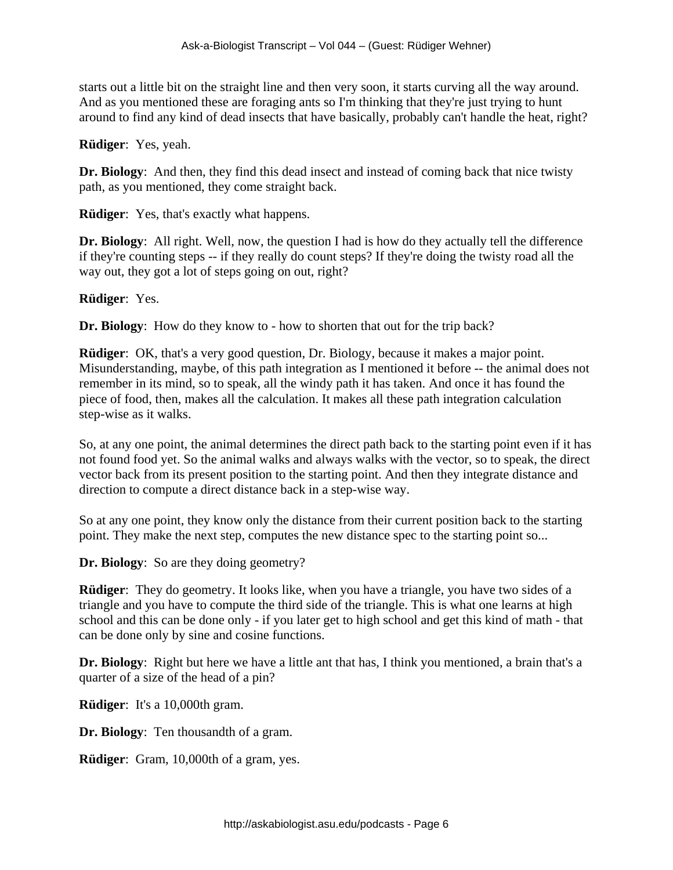starts out a little bit on the straight line and then very soon, it starts curving all the way around. And as you mentioned these are foraging ants so I'm thinking that they're just trying to hunt around to find any kind of dead insects that have basically, probably can't handle the heat, right?

#### **Rüdiger**: Yes, yeah.

**Dr. Biology**: And then, they find this dead insect and instead of coming back that nice twisty path, as you mentioned, they come straight back.

**Rüdiger**: Yes, that's exactly what happens.

**Dr. Biology**: All right. Well, now, the question I had is how do they actually tell the difference if they're counting steps -- if they really do count steps? If they're doing the twisty road all the way out, they got a lot of steps going on out, right?

**Rüdiger**: Yes.

**Dr. Biology**: How do they know to - how to shorten that out for the trip back?

**Rüdiger**: OK, that's a very good question, Dr. Biology, because it makes a major point. Misunderstanding, maybe, of this path integration as I mentioned it before -- the animal does not remember in its mind, so to speak, all the windy path it has taken. And once it has found the piece of food, then, makes all the calculation. It makes all these path integration calculation step-wise as it walks.

So, at any one point, the animal determines the direct path back to the starting point even if it has not found food yet. So the animal walks and always walks with the vector, so to speak, the direct vector back from its present position to the starting point. And then they integrate distance and direction to compute a direct distance back in a step-wise way.

So at any one point, they know only the distance from their current position back to the starting point. They make the next step, computes the new distance spec to the starting point so...

**Dr. Biology**: So are they doing geometry?

**Rüdiger:** They do geometry. It looks like, when you have a triangle, you have two sides of a triangle and you have to compute the third side of the triangle. This is what one learns at high school and this can be done only - if you later get to high school and get this kind of math - that can be done only by sine and cosine functions.

**Dr. Biology**: Right but here we have a little ant that has, I think you mentioned, a brain that's a quarter of a size of the head of a pin?

**Rüdiger**: It's a 10,000th gram.

**Dr. Biology**: Ten thousandth of a gram.

**Rüdiger**: Gram, 10,000th of a gram, yes.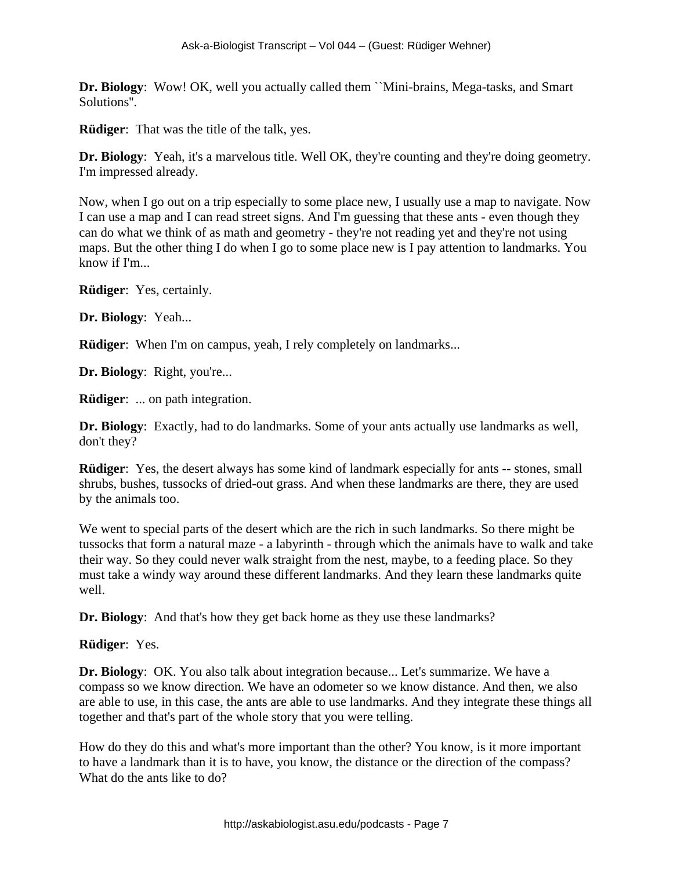**Dr. Biology**: Wow! OK, well you actually called them ``Mini-brains, Mega-tasks, and Smart Solutions''.

**Rüdiger**: That was the title of the talk, yes.

**Dr. Biology**: Yeah, it's a marvelous title. Well OK, they're counting and they're doing geometry. I'm impressed already.

Now, when I go out on a trip especially to some place new, I usually use a map to navigate. Now I can use a map and I can read street signs. And I'm guessing that these ants - even though they can do what we think of as math and geometry - they're not reading yet and they're not using maps. But the other thing I do when I go to some place new is I pay attention to landmarks. You know if I'm...

**Rüdiger**: Yes, certainly.

**Dr. Biology**: Yeah...

**Rüdiger:** When I'm on campus, yeah, I rely completely on landmarks...

**Dr. Biology**: Right, you're...

**Rüdiger**: ... on path integration.

**Dr. Biology**: Exactly, had to do landmarks. Some of your ants actually use landmarks as well, don't they?

**Rüdiger**: Yes, the desert always has some kind of landmark especially for ants -- stones, small shrubs, bushes, tussocks of dried-out grass. And when these landmarks are there, they are used by the animals too.

We went to special parts of the desert which are the rich in such landmarks. So there might be tussocks that form a natural maze - a labyrinth - through which the animals have to walk and take their way. So they could never walk straight from the nest, maybe, to a feeding place. So they must take a windy way around these different landmarks. And they learn these landmarks quite well.

**Dr. Biology**: And that's how they get back home as they use these landmarks?

**Rüdiger**: Yes.

**Dr. Biology**: OK. You also talk about integration because... Let's summarize. We have a compass so we know direction. We have an odometer so we know distance. And then, we also are able to use, in this case, the ants are able to use landmarks. And they integrate these things all together and that's part of the whole story that you were telling.

How do they do this and what's more important than the other? You know, is it more important to have a landmark than it is to have, you know, the distance or the direction of the compass? What do the ants like to do?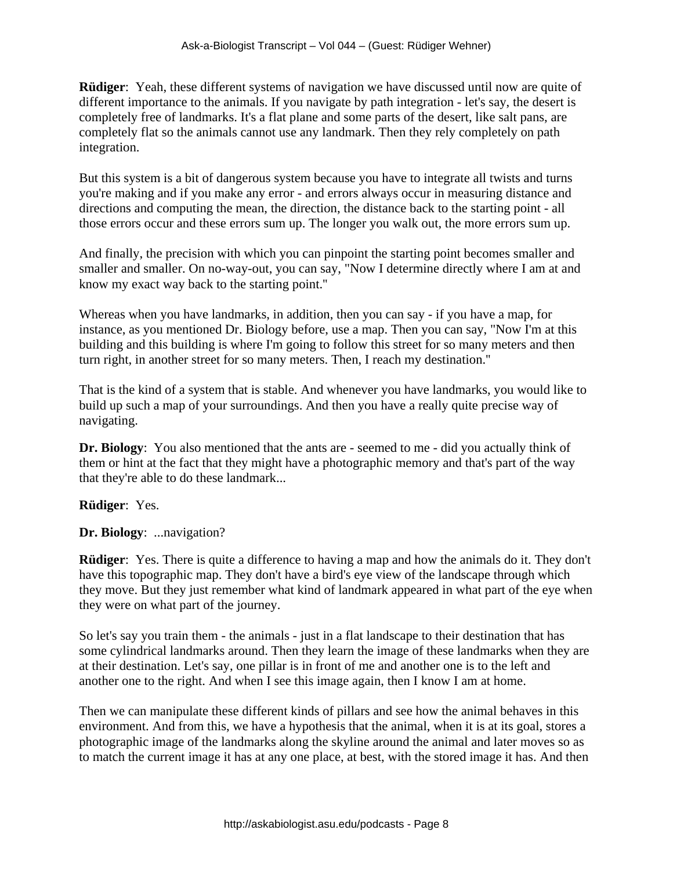**Rüdiger**: Yeah, these different systems of navigation we have discussed until now are quite of different importance to the animals. If you navigate by path integration - let's say, the desert is completely free of landmarks. It's a flat plane and some parts of the desert, like salt pans, are completely flat so the animals cannot use any landmark. Then they rely completely on path integration.

But this system is a bit of dangerous system because you have to integrate all twists and turns you're making and if you make any error - and errors always occur in measuring distance and directions and computing the mean, the direction, the distance back to the starting point - all those errors occur and these errors sum up. The longer you walk out, the more errors sum up.

And finally, the precision with which you can pinpoint the starting point becomes smaller and smaller and smaller. On no-way-out, you can say, "Now I determine directly where I am at and know my exact way back to the starting point.''

Whereas when you have landmarks, in addition, then you can say - if you have a map, for instance, as you mentioned Dr. Biology before, use a map. Then you can say, "Now I'm at this building and this building is where I'm going to follow this street for so many meters and then turn right, in another street for so many meters. Then, I reach my destination.''

That is the kind of a system that is stable. And whenever you have landmarks, you would like to build up such a map of your surroundings. And then you have a really quite precise way of navigating.

**Dr. Biology**: You also mentioned that the ants are - seemed to me - did you actually think of them or hint at the fact that they might have a photographic memory and that's part of the way that they're able to do these landmark...

**Rüdiger**: Yes.

**Dr. Biology**: ...navigation?

**Rüdiger**: Yes. There is quite a difference to having a map and how the animals do it. They don't have this topographic map. They don't have a bird's eye view of the landscape through which they move. But they just remember what kind of landmark appeared in what part of the eye when they were on what part of the journey.

So let's say you train them - the animals - just in a flat landscape to their destination that has some cylindrical landmarks around. Then they learn the image of these landmarks when they are at their destination. Let's say, one pillar is in front of me and another one is to the left and another one to the right. And when I see this image again, then I know I am at home.

Then we can manipulate these different kinds of pillars and see how the animal behaves in this environment. And from this, we have a hypothesis that the animal, when it is at its goal, stores a photographic image of the landmarks along the skyline around the animal and later moves so as to match the current image it has at any one place, at best, with the stored image it has. And then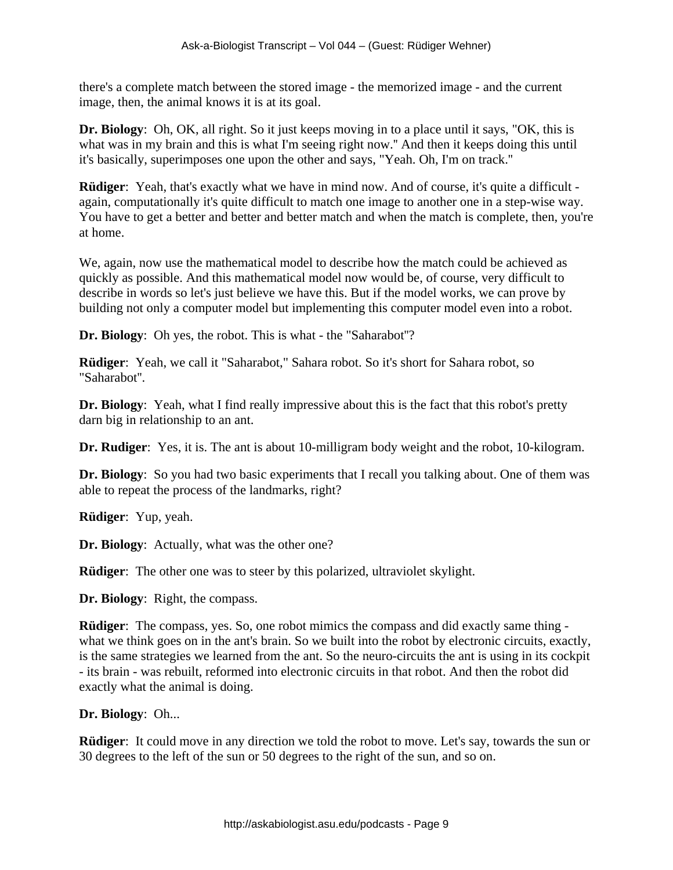there's a complete match between the stored image - the memorized image - and the current image, then, the animal knows it is at its goal.

**Dr. Biology**: Oh, OK, all right. So it just keeps moving in to a place until it says, "OK, this is what was in my brain and this is what I'm seeing right now.'' And then it keeps doing this until it's basically, superimposes one upon the other and says, "Yeah. Oh, I'm on track.''

**Rüdiger**: Yeah, that's exactly what we have in mind now. And of course, it's quite a difficult again, computationally it's quite difficult to match one image to another one in a step-wise way. You have to get a better and better and better match and when the match is complete, then, you're at home.

We, again, now use the mathematical model to describe how the match could be achieved as quickly as possible. And this mathematical model now would be, of course, very difficult to describe in words so let's just believe we have this. But if the model works, we can prove by building not only a computer model but implementing this computer model even into a robot.

**Dr. Biology**: Oh yes, the robot. This is what - the "Saharabot''?

**Rüdiger**: Yeah, we call it "Saharabot," Sahara robot. So it's short for Sahara robot, so "Saharabot''.

**Dr. Biology**: Yeah, what I find really impressive about this is the fact that this robot's pretty darn big in relationship to an ant.

**Dr. Rudiger**: Yes, it is. The ant is about 10-milligram body weight and the robot, 10-kilogram.

**Dr. Biology**: So you had two basic experiments that I recall you talking about. One of them was able to repeat the process of the landmarks, right?

**Rüdiger**: Yup, yeah.

**Dr. Biology**: Actually, what was the other one?

**Rüdiger**: The other one was to steer by this polarized, ultraviolet skylight.

**Dr. Biology**: Right, the compass.

**Rüdiger**: The compass, yes. So, one robot mimics the compass and did exactly same thing what we think goes on in the ant's brain. So we built into the robot by electronic circuits, exactly, is the same strategies we learned from the ant. So the neuro-circuits the ant is using in its cockpit - its brain - was rebuilt, reformed into electronic circuits in that robot. And then the robot did exactly what the animal is doing.

**Dr. Biology**: Oh...

**Rüdiger**: It could move in any direction we told the robot to move. Let's say, towards the sun or 30 degrees to the left of the sun or 50 degrees to the right of the sun, and so on.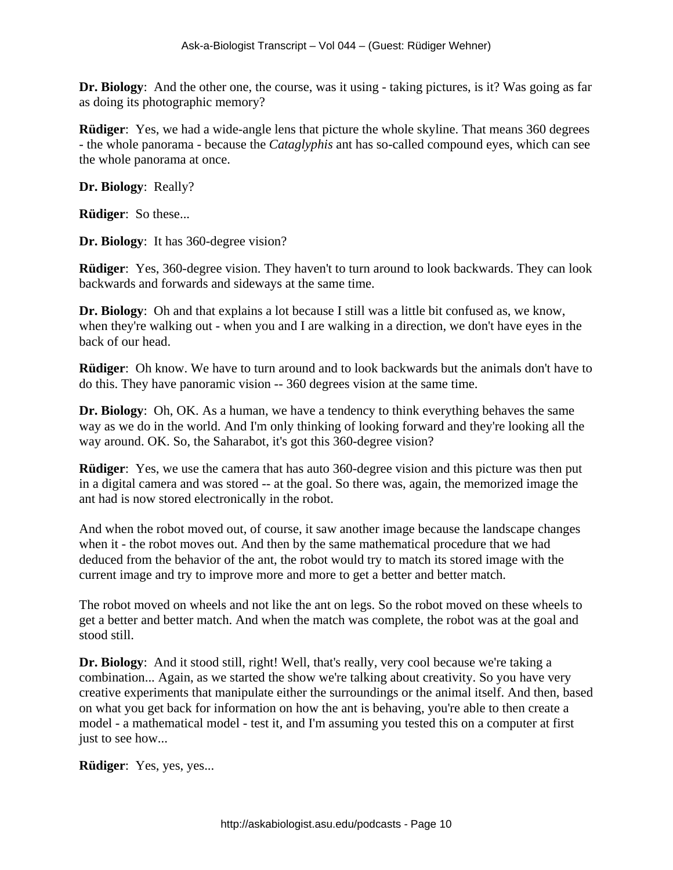**Dr. Biology**: And the other one, the course, was it using - taking pictures, is it? Was going as far as doing its photographic memory?

**Rüdiger:** Yes, we had a wide-angle lens that picture the whole skyline. That means 360 degrees - the whole panorama - because the *Cataglyphis* ant has so-called compound eyes, which can see the whole panorama at once.

**Dr. Biology**: Really?

**Rüdiger**: So these...

**Dr. Biology**: It has 360-degree vision?

**Rüdiger**: Yes, 360-degree vision. They haven't to turn around to look backwards. They can look backwards and forwards and sideways at the same time.

**Dr. Biology**: Oh and that explains a lot because I still was a little bit confused as, we know, when they're walking out - when you and I are walking in a direction, we don't have eyes in the back of our head.

**Rüdiger**: Oh know. We have to turn around and to look backwards but the animals don't have to do this. They have panoramic vision -- 360 degrees vision at the same time.

**Dr. Biology**: Oh, OK. As a human, we have a tendency to think everything behaves the same way as we do in the world. And I'm only thinking of looking forward and they're looking all the way around. OK. So, the Saharabot, it's got this 360-degree vision?

**Rüdiger**: Yes, we use the camera that has auto 360-degree vision and this picture was then put in a digital camera and was stored -- at the goal. So there was, again, the memorized image the ant had is now stored electronically in the robot.

And when the robot moved out, of course, it saw another image because the landscape changes when it - the robot moves out. And then by the same mathematical procedure that we had deduced from the behavior of the ant, the robot would try to match its stored image with the current image and try to improve more and more to get a better and better match.

The robot moved on wheels and not like the ant on legs. So the robot moved on these wheels to get a better and better match. And when the match was complete, the robot was at the goal and stood still.

**Dr. Biology**: And it stood still, right! Well, that's really, very cool because we're taking a combination... Again, as we started the show we're talking about creativity. So you have very creative experiments that manipulate either the surroundings or the animal itself. And then, based on what you get back for information on how the ant is behaving, you're able to then create a model - a mathematical model - test it, and I'm assuming you tested this on a computer at first just to see how...

**Rüdiger**: Yes, yes, yes...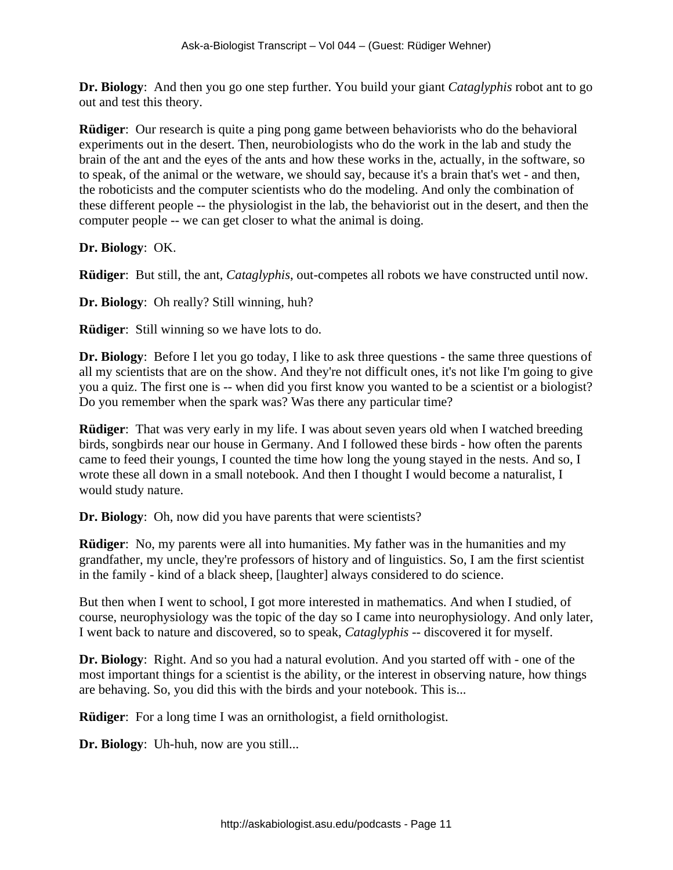**Dr. Biology**: And then you go one step further. You build your giant *Cataglyphis* robot ant to go out and test this theory.

**Rüdiger:** Our research is quite a ping pong game between behaviorists who do the behavioral experiments out in the desert. Then, neurobiologists who do the work in the lab and study the brain of the ant and the eyes of the ants and how these works in the, actually, in the software, so to speak, of the animal or the wetware, we should say, because it's a brain that's wet - and then, the roboticists and the computer scientists who do the modeling. And only the combination of these different people -- the physiologist in the lab, the behaviorist out in the desert, and then the computer people -- we can get closer to what the animal is doing.

**Dr. Biology**: OK.

**Rüdiger**: But still, the ant, *Cataglyphis*, out-competes all robots we have constructed until now.

**Dr. Biology**: Oh really? Still winning, huh?

**Rüdiger**: Still winning so we have lots to do.

**Dr. Biology**: Before I let you go today, I like to ask three questions - the same three questions of all my scientists that are on the show. And they're not difficult ones, it's not like I'm going to give you a quiz. The first one is -- when did you first know you wanted to be a scientist or a biologist? Do you remember when the spark was? Was there any particular time?

**Rüdiger**: That was very early in my life. I was about seven years old when I watched breeding birds, songbirds near our house in Germany. And I followed these birds - how often the parents came to feed their youngs, I counted the time how long the young stayed in the nests. And so, I wrote these all down in a small notebook. And then I thought I would become a naturalist, I would study nature.

**Dr. Biology**: Oh, now did you have parents that were scientists?

**Rüdiger**: No, my parents were all into humanities. My father was in the humanities and my grandfather, my uncle, they're professors of history and of linguistics. So, I am the first scientist in the family - kind of a black sheep, [laughter] always considered to do science.

But then when I went to school, I got more interested in mathematics. And when I studied, of course, neurophysiology was the topic of the day so I came into neurophysiology. And only later, I went back to nature and discovered, so to speak, *Cataglyphis* -- discovered it for myself.

**Dr. Biology**: Right. And so you had a natural evolution. And you started off with - one of the most important things for a scientist is the ability, or the interest in observing nature, how things are behaving. So, you did this with the birds and your notebook. This is...

**Rüdiger**: For a long time I was an ornithologist, a field ornithologist.

**Dr. Biology**: Uh-huh, now are you still...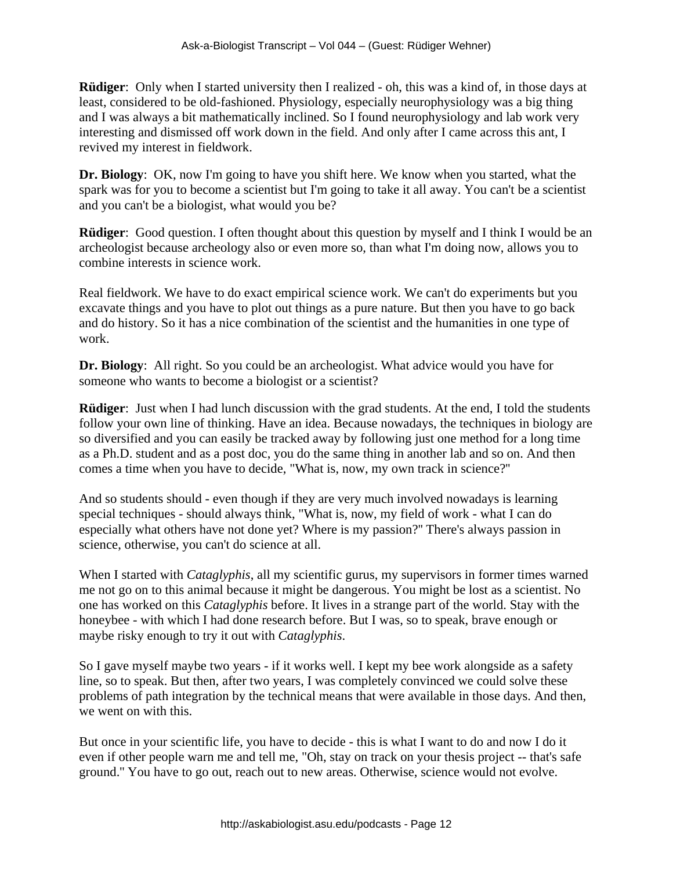**Rüdiger**: Only when I started university then I realized - oh, this was a kind of, in those days at least, considered to be old-fashioned. Physiology, especially neurophysiology was a big thing and I was always a bit mathematically inclined. So I found neurophysiology and lab work very interesting and dismissed off work down in the field. And only after I came across this ant, I revived my interest in fieldwork.

**Dr. Biology**: OK, now I'm going to have you shift here. We know when you started, what the spark was for you to become a scientist but I'm going to take it all away. You can't be a scientist and you can't be a biologist, what would you be?

**Rüdiger**: Good question. I often thought about this question by myself and I think I would be an archeologist because archeology also or even more so, than what I'm doing now, allows you to combine interests in science work.

Real fieldwork. We have to do exact empirical science work. We can't do experiments but you excavate things and you have to plot out things as a pure nature. But then you have to go back and do history. So it has a nice combination of the scientist and the humanities in one type of work.

**Dr. Biology**: All right. So you could be an archeologist. What advice would you have for someone who wants to become a biologist or a scientist?

**Rüdiger**: Just when I had lunch discussion with the grad students. At the end, I told the students follow your own line of thinking. Have an idea. Because nowadays, the techniques in biology are so diversified and you can easily be tracked away by following just one method for a long time as a Ph.D. student and as a post doc, you do the same thing in another lab and so on. And then comes a time when you have to decide, "What is, now, my own track in science?''

And so students should - even though if they are very much involved nowadays is learning special techniques - should always think, "What is, now, my field of work - what I can do especially what others have not done yet? Where is my passion?'' There's always passion in science, otherwise, you can't do science at all.

When I started with *Cataglyphis*, all my scientific gurus, my supervisors in former times warned me not go on to this animal because it might be dangerous. You might be lost as a scientist. No one has worked on this *Cataglyphis* before. It lives in a strange part of the world. Stay with the honeybee - with which I had done research before. But I was, so to speak, brave enough or maybe risky enough to try it out with *Cataglyphis*.

So I gave myself maybe two years - if it works well. I kept my bee work alongside as a safety line, so to speak. But then, after two years, I was completely convinced we could solve these problems of path integration by the technical means that were available in those days. And then, we went on with this.

But once in your scientific life, you have to decide - this is what I want to do and now I do it even if other people warn me and tell me, "Oh, stay on track on your thesis project -- that's safe ground.'' You have to go out, reach out to new areas. Otherwise, science would not evolve.